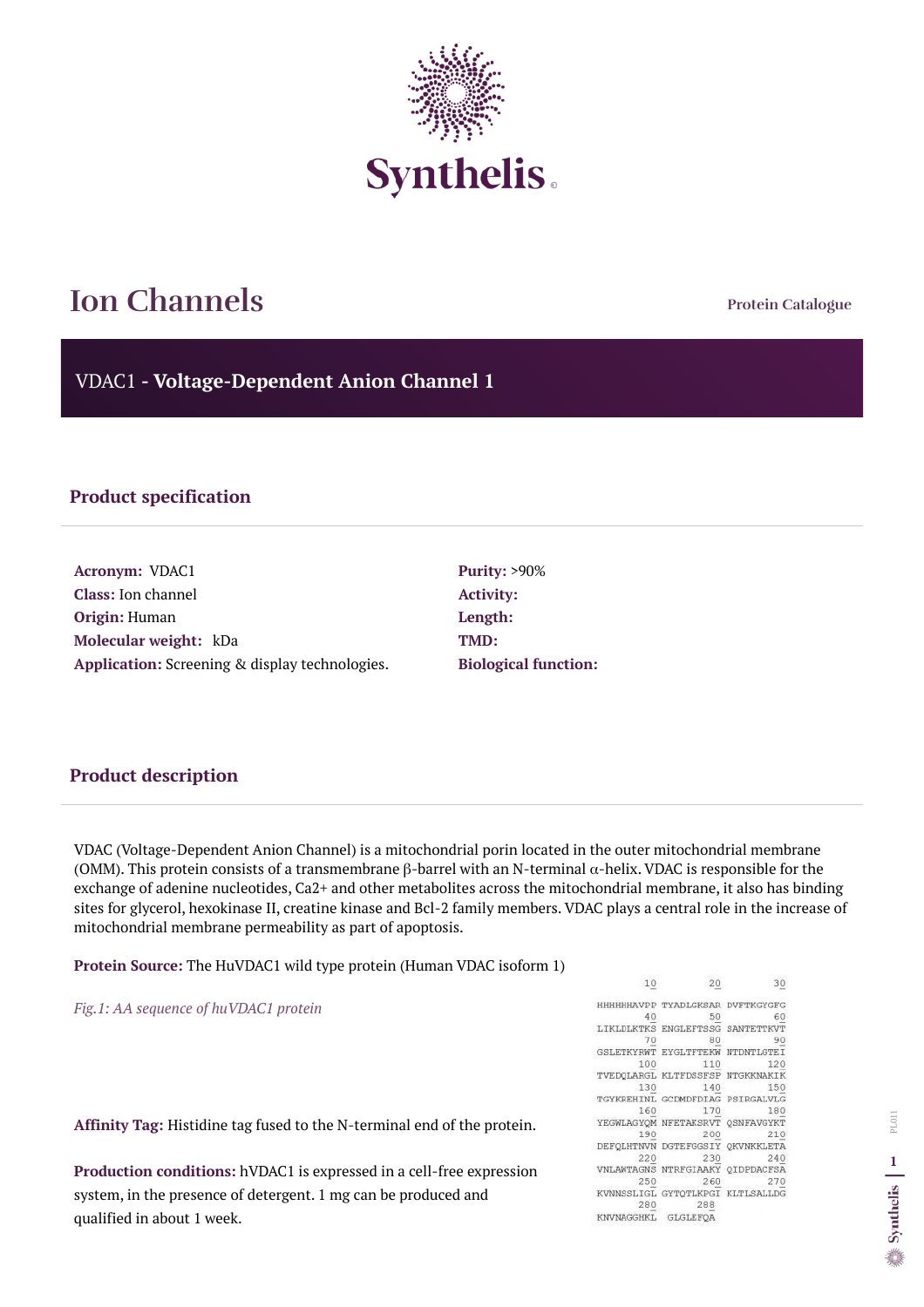**Protein Catalogue**

VDAC1 **- Voltage-Dependent Anion Channel 1**



# **Ion Channels**

### **Product specification**

**Acronym:** VDAC1 **Class:** Ion channel **Origin:** Human **Molecular weight:** kDa **Application:** Screening & display technologies. **Activity: Length: TMD:**

**Purity:** >90% **Biological function:**

#### **Product description**

VDAC (Voltage-Dependent Anion Channel) is a mitochondrial porin located in the outer mitochondrial membrane (OMM). This protein consists of a transmembrane  $\beta$ -barrel with an N-terminal  $\alpha$ -helix. VDAC is responsible for the exchange of adenine nucleotides, Ca2+ and other metabolites across the mitochondrial membrane, it also has binding sites for glycerol, hexokinase II, creatine kinase and Bcl-2 family members. VDAC plays a central role in the increase of mitochondrial membrane permeability as part of apoptosis.

**Protein Source:** The HuVDAC1 wild type protein (Human VDAC isoform 1)

*Fig.1: AA sequence of huVDAC1 protein* 

**Affinity Tag:** Histidine tag fused to the N-terminal end of the protein.

**Production conditions:** hVDAC1 is expressed in a cell-free expression system, in the presence of detergent. 1 mg can be produced and qualified in about 1 week.

 $10$ 20 30 HHHHHHAVPP TYADLGKSAR DVFTKGYGFG 40 50 60 LIKLDLKTKS ENGLEFTSSG SANTETTKVT 70 80 90 GSLETKYRWT EYGLTFTEKW NTDNTLGTEI 100 110 120 TVEDQLARGL KLTFDSSFSP NTGKKNAKIK 130 140 150 TGYKREHINL GCDMDFDIAG PSIRGALVLG 160 170 180 YEGWLAGYOM NFETAKSRVT QSNFAVGYKT 190 200 210 DEFQLHTNVN DGTEFGGSIY QKVNKKLETA 220 230 240 VNLAWTAGNS NTRFGIAAKY QIDPDACFSA 250 260 270 KVNNSSLIGL GYTQTLKPGI KLTLSALLDG 280 288 KNVNAGGHKL GLGLEFOA